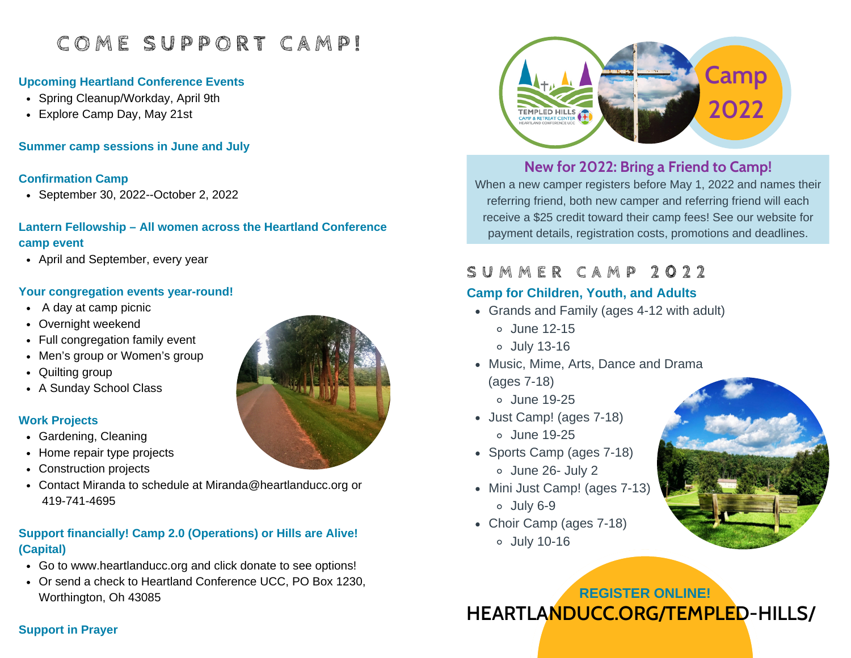# **C O M E S U P P O R T C A M P !**

## **Upcoming Heartland Conference Events**

- Spring Cleanup/Workday, April 9th
- Explore Camp Day, May 21st

**Summer camp sessions in June and July**

#### **Confirmation Camp**

September 30, 2022--October 2, 2022

## **Lantern Fellowship – All women across the Heartland Conference camp event**

• April and September, every year

## **Your congregation events year-round!**

- A day at camp picnic
- Overnight weekend
- Full congregation family event
- Men's group or Women's group
- Quilting group
- A Sunday School Class

## **Work Projects**

- Gardening, Cleaning
- Home repair type projects
- Construction projects
- Contact Miranda to schedule at Miranda@heartlanducc.org or 419-741-4695

## **Support financially! Camp 2.0 (Operations) or Hills are Alive! (Capital)**

- Go to www.heartlanducc.org and click donate to see options!
- Or send a check to Heartland Conference UCC, PO Box 1230, Worthington, Oh 43085





## **New for 2022: Bring a Friend to Camp!**

When a new camper registers before May 1, 2022 and names their referring friend, both new camper and referring friend will each receive a \$25 credit toward their camp fees! See our website for payment details, registration costs, promotions and deadlines.

# **S U M M E R C A M P 2 0 2 2**

## **Camp for Children, Youth, and Adults**

- Grands and Family (ages 4-12 with adult)
	- June 12-15
	- July 13-16
- Music, Mime, Arts, Dance and Drama
	- (ages 7-18)
		- June 19-25
- Just Camp! (ages 7-18) June 19-25
- Sports Camp (ages 7-18) June 26- July 2
- Mini Just Camp! (ages 7-13) July 6-9
- Choir Camp (ages 7-18) July 10-16



# **REGISTER ONLINE! HEARTLANDUCC.ORG/TEMPLED-HILLS/**

## **Support in Prayer**